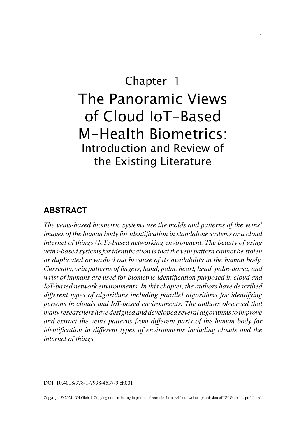# Chapter 1 The Panoramic Views of Cloud IoT-Based M-Health Biometrics: Introduction and Review of the Existing Literature

# **ABSTRACT**

*The veins-based biometric systems use the molds and patterns of the veins' images of the human body for identification in standalone systems or a cloud internet of things (IoT)-based networking environment. The beauty of using veins-based systems for identification is that the vein pattern cannot be stolen or duplicated or washed out because of its availability in the human body. Currently, vein patterns of fingers, hand, palm, heart, head, palm-dorsa, and wrist of humans are used for biometric identification purposed in cloud and IoT-based network environments. In this chapter, the authors have described different types of algorithms including parallel algorithms for identifying persons in clouds and IoT-based environments. The authors observed that many researchers have designed and developed several algorithms to improve and extract the veins patterns from different parts of the human body for identification in different types of environments including clouds and the internet of things.*

DOI: 10.4018/978-1-7998-4537-9.ch001

Copyright © 2021, IGI Global. Copying or distributing in print or electronic forms without written permission of IGI Global is prohibited.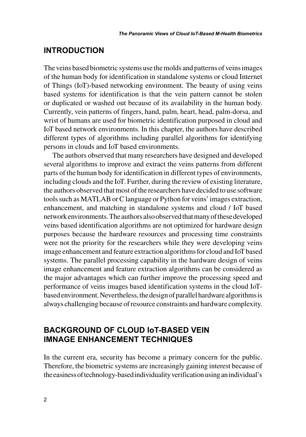# **INTRODUCTION**

The veins based biometric systems use the molds and patterns of veins images of the human body for identification in standalone systems or cloud Internet of Things (IoT)-based networking environment. The beauty of using veins based systems for identification is that the vein pattern cannot be stolen or duplicated or washed out because of its availability in the human body. Currently, vein patterns of fingers, hand, palm, heart, head, palm-dorsa, and wrist of humans are used for biometric identification purposed in cloud and IoT based network environments. In this chapter, the authors have described different types of algorithms including parallel algorithms for identifying persons in clouds and IoT based environments.

The authors observed that many researchers have designed and developed several algorithms to improve and extract the veins patterns from different parts of the human body for identification in different types of environments, including clouds and the IoT. Further, during the review of existing literature, the authors observed that most of the researchers have decided to use software tools such as MATLAB or C language or Python for veins' images extraction, enhancement, and matching in standalone systems and cloud / IoT based network environments. The authors also observed that many of these developed veins based identification algorithms are not optimized for hardware design purposes because the hardware resources and processing time constraints were not the priority for the researchers while they were developing veins image enhancement and feature extraction algorithms for cloud and IoT based systems. The parallel processing capability in the hardware design of veins image enhancement and feature extraction algorithms can be considered as the major advantages which can further improve the processing speed and performance of veins images based identification systems in the cloud IoTbased environment. Nevertheless, the design of parallel hardware algorithms is always challenging because of resource constraints and hardware complexity.

# **BACKGROUND OF CLOUD IoT-BASED VEIN IMNAGE ENHANCEMENT TECHNIQUES**

In the current era, security has become a primary concern for the public. Therefore, the biometric systems are increasingly gaining interest because of the easiness of technology-based individuality verification using an individual's